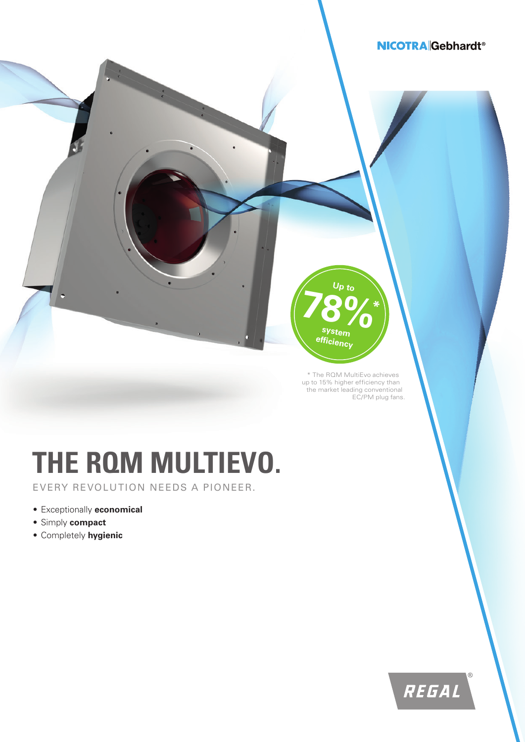# **NICOTRA** Gebhardt<sup>®</sup>

\* The RQM MultiEvo achieves up to 15% higher efficiency than the market leading conventional

**Up to**

**78%\***

**system efficiency**

EC/PM plug fans.

# **THE RQM MULTIEVO.**

EVERY REVOLUTION NEEDS A PIONEER.

- Exceptionally **economical**
- Simply **compact**
- Completely **hygienic**

REGAL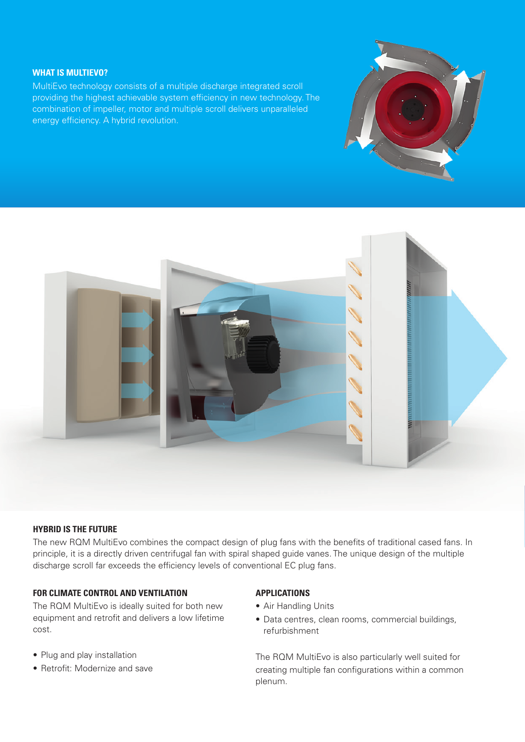# **WHAT IS MULTIEVO?**

MultiEvo technology consists of a multiple discharge integrated scroll providing the highest achievable system efficiency in new technology. The combination of impeller, motor and multiple scroll delivers unparalleled energy efficiency. A hybrid revolution.





## **HYBRID IS THE FUTURE**

The new RQM MultiEvo combines the compact design of plug fans with the benefits of traditional cased fans. In principle, it is a directly driven centrifugal fan with spiral shaped guide vanes. The unique design of the multiple discharge scroll far exceeds the efficiency levels of conventional EC plug fans.

# **FOR CLIMATE CONTROL AND VENTILATION**

The RQM MultiEvo is ideally suited for both new equipment and retrofit and delivers a low lifetime cost.

- Plug and play installation
- Retrofit: Modernize and save

# **APPLICATIONS**

- Air Handling Units
- Data centres, clean rooms, commercial buildings, refurbishment

The RQM MultiEvo is also particularly well suited for creating multiple fan configurations within a common plenum.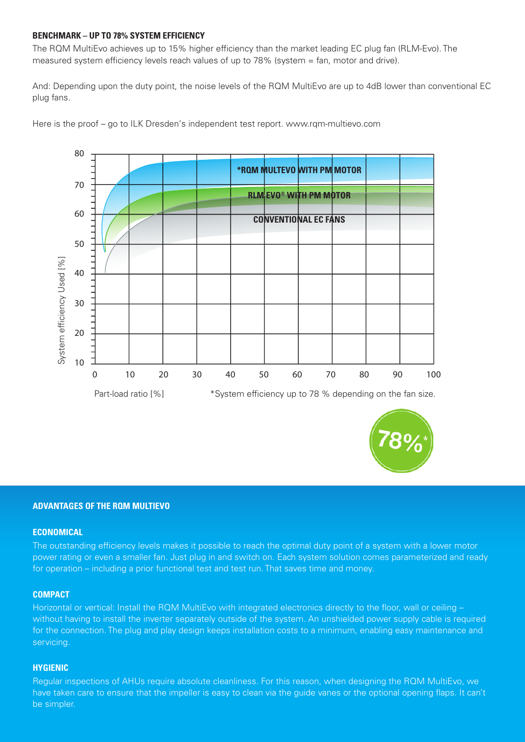### **BENCHMARK – UP TO 78% SYSTEM EFFICIENCY**

The RQM MultiEvo achieves up to 15% higher efficiency than the market leading EC plug fan (RLM-Evo). The measured system efficiency levels reach values of up to 78% (system = fan, motor and drive).

And: Depending upon the duty point, the noise levels of the RQM MultiEvo are up to 4dB lower than conventional EC plug fans.





#### **ADVANTAGES OF THE RQM MULTIEVO**

#### **ECONOMICAL**

The outstanding efficiency levels makes it possible to reach the optimal duty point of a system with a lower motor power rating or even a smaller fan. Just plug in and switch on. Each system solution comes parameterized and ready for operation – including a prior functional test and test run. That saves time and money.

#### **COMPACT**

Horizontal or vertical: Install the RQM MultiEvo with integrated electronics directly to the floor, wall or ceiling without having to install the inverter separately outside of the system. An unshielded power supply cable is required for the connection. The plug and play design keeps installation costs to a minimum, enabling easy maintenance and servicing.

#### **HYGIENIC**

Regular inspections of AHUs require absolute cleanliness. For this reason, when designing the RQM MultiEvo, we have taken care to ensure that the impeller is easy to clean via the guide vanes or the optional opening flaps. It can't be simpler.